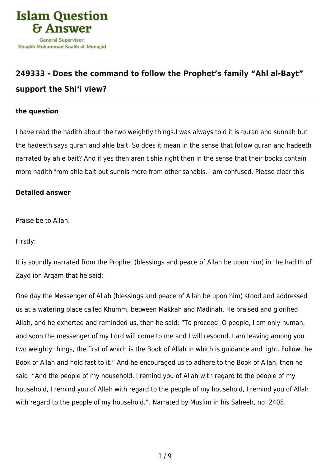

# **[249333 - Does the command to follow the Prophet's family "Ahl al-Bayt"](https://islamqa.com/en/answers/249333/does-the-command-to-follow-the-prophets-family-ahl-al-bayt-support-the-shii-view) [support the Shi'i view?](https://islamqa.com/en/answers/249333/does-the-command-to-follow-the-prophets-family-ahl-al-bayt-support-the-shii-view)**

# **the question**

I have read the hadith about the two weightly things.I was always told it is quran and sunnah but the hadeeth says quran and ahle bait. So does it mean in the sense that follow quran and hadeeth narrated by ahle bait? And if yes then aren t shia right then in the sense that their books contain more hadith from ahle bait but sunnis more from other sahabis. I am confused. Please clear this

# **Detailed answer**

Praise be to Allah.

Firstly:

It is soundly narrated from the Prophet (blessings and peace of Allah be upon him) in the hadith of Zayd ibn Arqam that he said:

One day the Messenger of Allah (blessings and peace of Allah be upon him) stood and addressed us at a watering place called Khumm, between Makkah and Madinah. He praised and glorified Allah, and he exhorted and reminded us, then he said: "To proceed: O people, I am only human, and soon the messenger of my Lord will come to me and I will respond. I am leaving among you two weighty things, the first of which is the Book of Allah in which is guidance and light. Follow the Book of Allah and hold fast to it." And he encouraged us to adhere to the Book of Allah, then he said: "And the people of my household, I remind you of Allah with regard to the people of my household, I remind you of Allah with regard to the people of my household, I remind you of Allah with regard to the people of my household.". Narrated by Muslim in his Saheeh, no. 2408.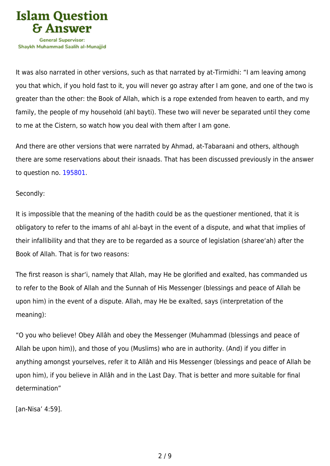

It was also narrated in other versions, such as that narrated by at-Tirmidhi: "I am leaving among you that which, if you hold fast to it, you will never go astray after I am gone, and one of the two is greater than the other: the Book of Allah, which is a rope extended from heaven to earth, and my family, the people of my household (ahl bayti). These two will never be separated until they come to me at the Cistern, so watch how you deal with them after I am gone.

And there are other versions that were narrated by Ahmad, at-Tabaraani and others, although there are some reservations about their isnaads. That has been discussed previously in the answer to question no. [195801](https://islamqa.com/ar/answers/).

# Secondly:

It is impossible that the meaning of the hadith could be as the questioner mentioned, that it is obligatory to refer to the imams of ahl al-bayt in the event of a dispute, and what that implies of their infallibility and that they are to be regarded as a source of legislation (sharee'ah) after the Book of Allah. That is for two reasons:

The first reason is shar'i, namely that Allah, may He be glorified and exalted, has commanded us to refer to the Book of Allah and the Sunnah of His Messenger (blessings and peace of Allah be upon him) in the event of a dispute. Allah, may He be exalted, says (interpretation of the meaning):

"O you who believe! Obey Allâh and obey the Messenger (Muhammad (blessings and peace of Allah be upon him)), and those of you (Muslims) who are in authority. (And) if you differ in anything amongst yourselves, refer it to Allâh and His Messenger (blessings and peace of Allah be upon him), if you believe in Allâh and in the Last Day. That is better and more suitable for final determination"

[an-Nisa' 4:59].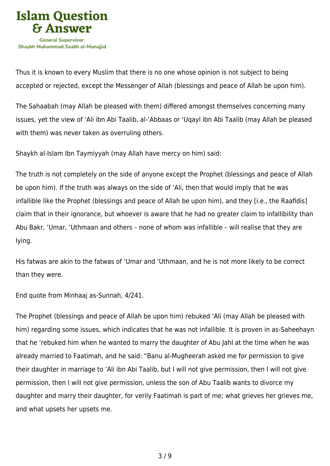

Thus it is known to every Muslim that there is no one whose opinion is not subject to being accepted or rejected, except the Messenger of Allah (blessings and peace of Allah be upon him).

The Sahaabah (may Allah be pleased with them) differed amongst themselves concerning many issues, yet the view of 'Ali ibn Abi Taalib, al-'Abbaas or 'Uqayl ibn Abi Taalib (may Allah be pleased with them) was never taken as overruling others.

Shaykh al-Islam Ibn Taymiyyah (may Allah have mercy on him) said:

The truth is not completely on the side of anyone except the Prophet (blessings and peace of Allah be upon him). If the truth was always on the side of 'Ali, then that would imply that he was infallible like the Prophet (blessings and peace of Allah be upon him), and they [i.e., the Raafidis] claim that in their ignorance, but whoever is aware that he had no greater claim to infallibility than Abu Bakr, 'Umar, 'Uthmaan and others – none of whom was infallible – will realise that they are lying.

His fatwas are akin to the fatwas of 'Umar and 'Uthmaan, and he is not more likely to be correct than they were.

End quote from Minhaaj as-Sunnah, 4/241.

The Prophet (blessings and peace of Allah be upon him) rebuked 'Ali (may Allah be pleased with him) regarding some issues, which indicates that he was not infallible. It is proven in as-Saheehayn that he 'rebuked him when he wanted to marry the daughter of Abu Jahl at the time when he was already married to Faatimah, and he said: "Banu al-Mugheerah asked me for permission to give their daughter in marriage to 'Ali ibn Abi Taalib, but I will not give permission, then I will not give permission, then I will not give permission, unless the son of Abu Taalib wants to divorce my daughter and marry their daughter, for verily Faatimah is part of me; what grieves her grieves me, and what upsets her upsets me.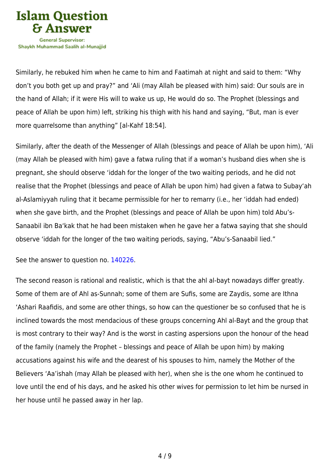

Similarly, he rebuked him when he came to him and Faatimah at night and said to them: "Why don't you both get up and pray?" and 'Ali (may Allah be pleased with him) said: Our souls are in the hand of Allah; if it were His will to wake us up, He would do so. The Prophet (blessings and peace of Allah be upon him) left, striking his thigh with his hand and saying, "But, man is ever more quarrelsome than anything" [al-Kahf 18:54].

Similarly, after the death of the Messenger of Allah (blessings and peace of Allah be upon him), 'Ali (may Allah be pleased with him) gave a fatwa ruling that if a woman's husband dies when she is pregnant, she should observe 'iddah for the longer of the two waiting periods, and he did not realise that the Prophet (blessings and peace of Allah be upon him) had given a fatwa to Subay'ah al-Aslamiyyah ruling that it became permissible for her to remarry (i.e., her 'iddah had ended) when she gave birth, and the Prophet (blessings and peace of Allah be upon him) told Abu's-Sanaabil ibn Ba'kak that he had been mistaken when he gave her a fatwa saying that she should observe 'iddah for the longer of the two waiting periods, saying, "Abu's-Sanaabil lied."

See the answer to question no. [140226](https://islamqa.com/ar/answers/).

The second reason is rational and realistic, which is that the ahl al-bayt nowadays differ greatly. Some of them are of Ahl as-Sunnah; some of them are Sufis, some are Zaydis, some are Ithna 'Ashari Raafidis, and some are other things, so how can the questioner be so confused that he is inclined towards the most mendacious of these groups concerning Ahl al-Bayt and the group that is most contrary to their way? And is the worst in casting aspersions upon the honour of the head of the family (namely the Prophet – blessings and peace of Allah be upon him) by making accusations against his wife and the dearest of his spouses to him, namely the Mother of the Believers 'Aa'ishah (may Allah be pleased with her), when she is the one whom he continued to love until the end of his days, and he asked his other wives for permission to let him be nursed in her house until he passed away in her lap.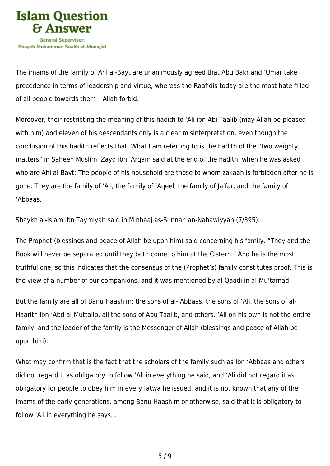

The imams of the family of Ahl al-Bayt are unanimously agreed that Abu Bakr and 'Umar take precedence in terms of leadership and virtue, whereas the Raafidis today are the most hate-filled of all people towards them – Allah forbid.

Moreover, their restricting the meaning of this hadith to 'Ali ibn Abi Taalib (may Allah be pleased with him) and eleven of his descendants only is a clear misinterpretation, even though the conclusion of this hadith reflects that. What I am referring to is the hadith of the "two weighty matters" in Saheeh Muslim. Zayd ibn 'Arqam said at the end of the hadith, when he was asked who are Ahl al-Bayt: The people of his household are those to whom zakaah is forbidden after he is gone. They are the family of 'Ali, the family of 'Aqeel, the family of Ja'far, and the family of 'Abbaas.

Shaykh al-Islam Ibn Taymiyah said in Minhaaj as-Sunnah an-Nabawiyyah (7/395):

The Prophet (blessings and peace of Allah be upon him) said concerning his family: "They and the Book will never be separated until they both come to him at the Cistern." And he is the most truthful one, so this indicates that the consensus of the (Prophet's) family constitutes proof. This is the view of a number of our companions, and it was mentioned by al-Qaadi in al-Mu'tamad.

But the family are all of Banu Haashim: the sons of al-'Abbaas, the sons of 'Ali, the sons of al-Haarith ibn 'Abd al-Muttalib, all the sons of Abu Taalib, and others. 'Ali on his own is not the entire family, and the leader of the family is the Messenger of Allah (blessings and peace of Allah be upon him).

What may confirm that is the fact that the scholars of the family such as Ibn 'Abbaas and others did not regard it as obligatory to follow 'Ali in everything he said, and 'Ali did not regard it as obligatory for people to obey him in every fatwa he issued, and it is not known that any of the imams of the early generations, among Banu Haashim or otherwise, said that it is obligatory to follow 'Ali in everything he says…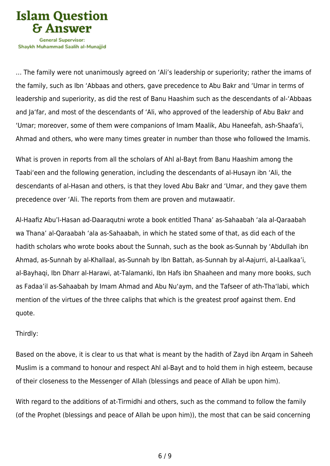

Shavkh Muhammad Saalih al-Munaiiid

… The family were not unanimously agreed on 'Ali's leadership or superiority; rather the imams of the family, such as Ibn 'Abbaas and others, gave precedence to Abu Bakr and 'Umar in terms of leadership and superiority, as did the rest of Banu Haashim such as the descendants of al-'Abbaas and Ja'far, and most of the descendants of 'Ali, who approved of the leadership of Abu Bakr and 'Umar; moreover, some of them were companions of Imam Maalik, Abu Haneefah, ash-Shaafa'i, Ahmad and others, who were many times greater in number than those who followed the Imamis.

What is proven in reports from all the scholars of Ahl al-Bayt from Banu Haashim among the Taabi'een and the following generation, including the descendants of al-Husayn ibn 'Ali, the descendants of al-Hasan and others, is that they loved Abu Bakr and 'Umar, and they gave them precedence over 'Ali. The reports from them are proven and mutawaatir.

Al-Haafiz Abu'l-Hasan ad-Daaraqutni wrote a book entitled Thana' as-Sahaabah 'ala al-Qaraabah wa Thana' al-Qaraabah 'ala as-Sahaabah, in which he stated some of that, as did each of the hadith scholars who wrote books about the Sunnah, such as the book as-Sunnah by 'Abdullah ibn Ahmad, as-Sunnah by al-Khallaal, as-Sunnah by Ibn Battah, as-Sunnah by al-Aajurri, al-Laalkaa'i, al-Bayhaqi, Ibn Dharr al-Harawi, at-Talamanki, Ibn Hafs ibn Shaaheen and many more books, such as Fadaa'il as-Sahaabah by Imam Ahmad and Abu Nu'aym, and the Tafseer of ath-Tha'labi, which mention of the virtues of the three caliphs that which is the greatest proof against them. End quote.

#### Thirdly:

Based on the above, it is clear to us that what is meant by the hadith of Zayd ibn Arqam in Saheeh Muslim is a command to honour and respect Ahl al-Bayt and to hold them in high esteem, because of their closeness to the Messenger of Allah (blessings and peace of Allah be upon him).

With regard to the additions of at-Tirmidhi and others, such as the command to follow the family (of the Prophet (blessings and peace of Allah be upon him)), the most that can be said concerning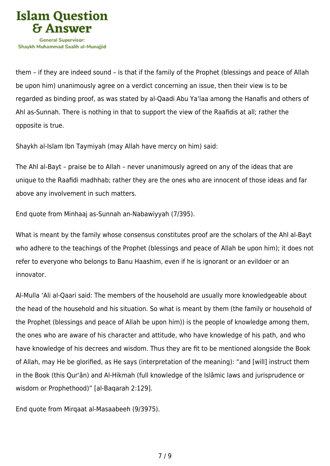

them – if they are indeed sound – is that if the family of the Prophet (blessings and peace of Allah be upon him) unanimously agree on a verdict concerning an issue, then their view is to be regarded as binding proof, as was stated by al-Qaadi Abu Ya'laa among the Hanafis and others of Ahl as-Sunnah. There is nothing in that to support the view of the Raafidis at all; rather the opposite is true.

Shaykh al-Islam Ibn Taymiyah (may Allah have mercy on him) said:

The Ahl al-Bayt – praise be to Allah – never unanimously agreed on any of the ideas that are unique to the Raafidi madhhab; rather they are the ones who are innocent of those ideas and far above any involvement in such matters.

End quote from Minhaaj as-Sunnah an-Nabawiyyah (7/395).

What is meant by the family whose consensus constitutes proof are the scholars of the Ahl al-Bayt who adhere to the teachings of the Prophet (blessings and peace of Allah be upon him); it does not refer to everyone who belongs to Banu Haashim, even if he is ignorant or an evildoer or an innovator.

Al-Mulla 'Ali al-Qaari said: The members of the household are usually more knowledgeable about the head of the household and his situation. So what is meant by them (the family or household of the Prophet (blessings and peace of Allah be upon him)) is the people of knowledge among them, the ones who are aware of his character and attitude, who have knowledge of his path, and who have knowledge of his decrees and wisdom. Thus they are fit to be mentioned alongside the Book of Allah, may He be glorified, as He says (interpretation of the meaning): "and [will] instruct them in the Book (this Qur'ân) and Al-Hikmah (full knowledge of the Islâmic laws and jurisprudence or wisdom or Prophethood)" [al-Baqarah 2:129].

End quote from Mirqaat al-Masaabeeh (9/3975).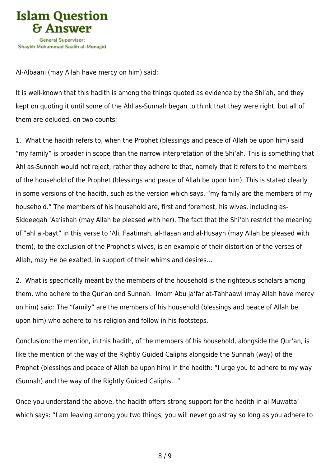

Al-Albaani (may Allah have mercy on him) said:

It is well-known that this hadith is among the things quoted as evidence by the Shi'ah, and they kept on quoting it until some of the Ahl as-Sunnah began to think that they were right, but all of them are deluded, on two counts:

1. What the hadith refers to, when the Prophet (blessings and peace of Allah be upon him) said "my family" is broader in scope than the narrow interpretation of the Shi'ah. This is something that Ahl as-Sunnah would not reject; rather they adhere to that, namely that it refers to the members of the household of the Prophet (blessings and peace of Allah be upon him). This is stated clearly in some versions of the hadith, such as the version which says, "my family are the members of my household." The members of his household are, first and foremost, his wives, including as-Siddeeqah 'Aa'ishah (may Allah be pleased with her). The fact that the Shi'ah restrict the meaning of "ahl al-bayt" in this verse to 'Ali, Faatimah, al-Hasan and al-Husayn (may Allah be pleased with them), to the exclusion of the Prophet's wives, is an example of their distortion of the verses of Allah, may He be exalted, in support of their whims and desires…

2. What is specifically meant by the members of the household is the righteous scholars among them, who adhere to the Qur'an and Sunnah. Imam Abu Ja'far at-Tahhaawi (may Allah have mercy on him) said: The "family" are the members of his household (blessings and peace of Allah be upon him) who adhere to his religion and follow in his footsteps.

Conclusion: the mention, in this hadith, of the members of his household, alongside the Qur'an, is like the mention of the way of the Rightly Guided Caliphs alongside the Sunnah (way) of the Prophet (blessings and peace of Allah be upon him) in the hadith: "I urge you to adhere to my way (Sunnah) and the way of the Rightly Guided Caliphs…"

Once you understand the above, the hadith offers strong support for the hadith in al-Muwatta' which says: "I am leaving among you two things; you will never go astray so long as you adhere to